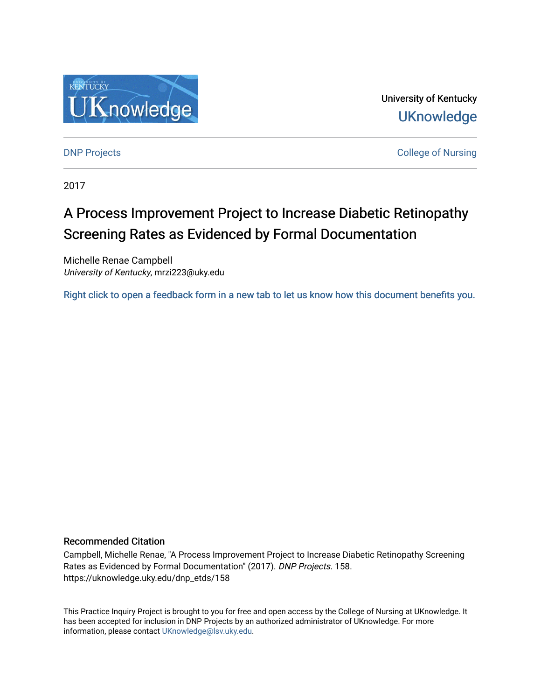

University of Kentucky **UKnowledge** 

**DNP Projects** College of Nursing

2017

# A Process Improvement Project to Increase Diabetic Retinopathy Screening Rates as Evidenced by Formal Documentation

Michelle Renae Campbell University of Kentucky, mrzi223@uky.edu

[Right click to open a feedback form in a new tab to let us know how this document benefits you.](https://uky.az1.qualtrics.com/jfe/form/SV_9mq8fx2GnONRfz7)

## Recommended Citation

Campbell, Michelle Renae, "A Process Improvement Project to Increase Diabetic Retinopathy Screening Rates as Evidenced by Formal Documentation" (2017). DNP Projects. 158. https://uknowledge.uky.edu/dnp\_etds/158

This Practice Inquiry Project is brought to you for free and open access by the College of Nursing at UKnowledge. It has been accepted for inclusion in DNP Projects by an authorized administrator of UKnowledge. For more information, please contact [UKnowledge@lsv.uky.edu](mailto:UKnowledge@lsv.uky.edu).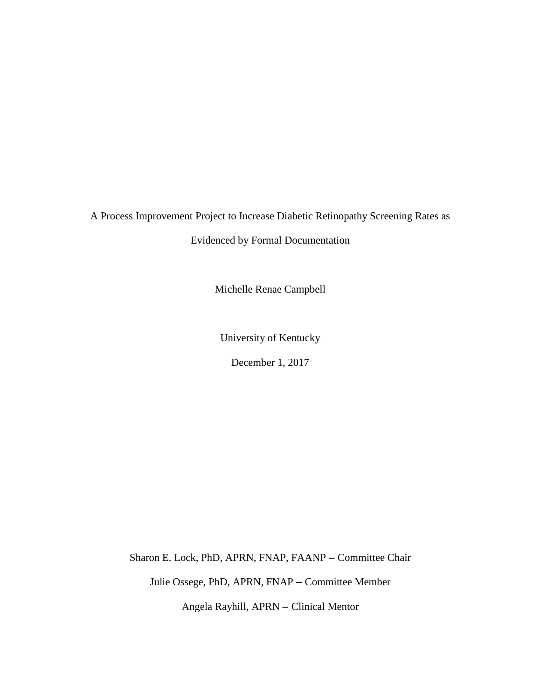A Process Improvement Project to Increase Diabetic Retinopathy Screening Rates as

Evidenced by Formal Documentation

Michelle Renae Campbell

University of Kentucky

December 1, 2017

Sharon E. Lock, PhD, APRN, FNAP, FAANP – Committee Chair

Julie Ossege, PhD, APRN, FNAP – Committee Member

Angela Rayhill, APRN – Clinical Mentor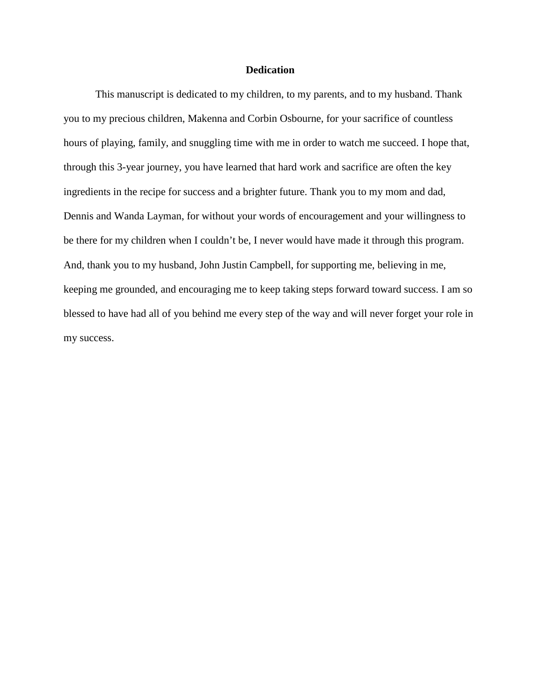## **Dedication**

This manuscript is dedicated to my children, to my parents, and to my husband. Thank you to my precious children, Makenna and Corbin Osbourne, for your sacrifice of countless hours of playing, family, and snuggling time with me in order to watch me succeed. I hope that, through this 3-year journey, you have learned that hard work and sacrifice are often the key ingredients in the recipe for success and a brighter future. Thank you to my mom and dad, Dennis and Wanda Layman, for without your words of encouragement and your willingness to be there for my children when I couldn't be, I never would have made it through this program. And, thank you to my husband, John Justin Campbell, for supporting me, believing in me, keeping me grounded, and encouraging me to keep taking steps forward toward success. I am so blessed to have had all of you behind me every step of the way and will never forget your role in my success.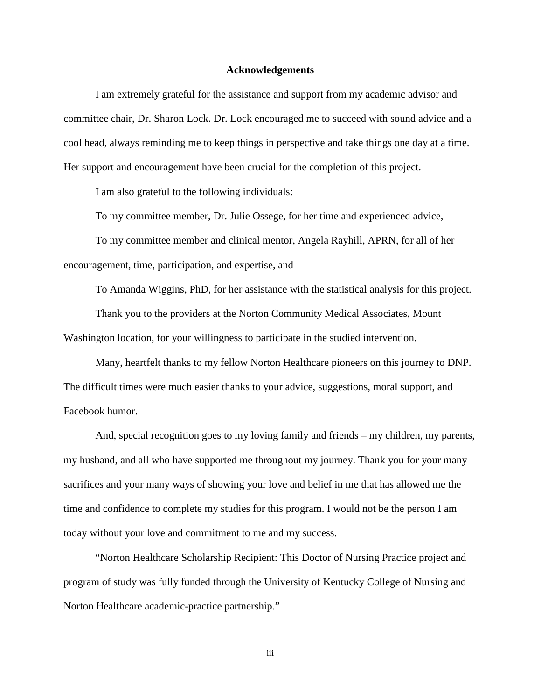#### **Acknowledgements**

I am extremely grateful for the assistance and support from my academic advisor and committee chair, Dr. Sharon Lock. Dr. Lock encouraged me to succeed with sound advice and a cool head, always reminding me to keep things in perspective and take things one day at a time. Her support and encouragement have been crucial for the completion of this project.

I am also grateful to the following individuals:

To my committee member, Dr. Julie Ossege, for her time and experienced advice,

To my committee member and clinical mentor, Angela Rayhill, APRN, for all of her encouragement, time, participation, and expertise, and

To Amanda Wiggins, PhD, for her assistance with the statistical analysis for this project.

Thank you to the providers at the Norton Community Medical Associates, Mount Washington location, for your willingness to participate in the studied intervention.

Many, heartfelt thanks to my fellow Norton Healthcare pioneers on this journey to DNP. The difficult times were much easier thanks to your advice, suggestions, moral support, and Facebook humor.

And, special recognition goes to my loving family and friends – my children, my parents, my husband, and all who have supported me throughout my journey. Thank you for your many sacrifices and your many ways of showing your love and belief in me that has allowed me the time and confidence to complete my studies for this program. I would not be the person I am today without your love and commitment to me and my success.

"Norton Healthcare Scholarship Recipient: This Doctor of Nursing Practice project and program of study was fully funded through the University of Kentucky College of Nursing and Norton Healthcare academic-practice partnership."

iii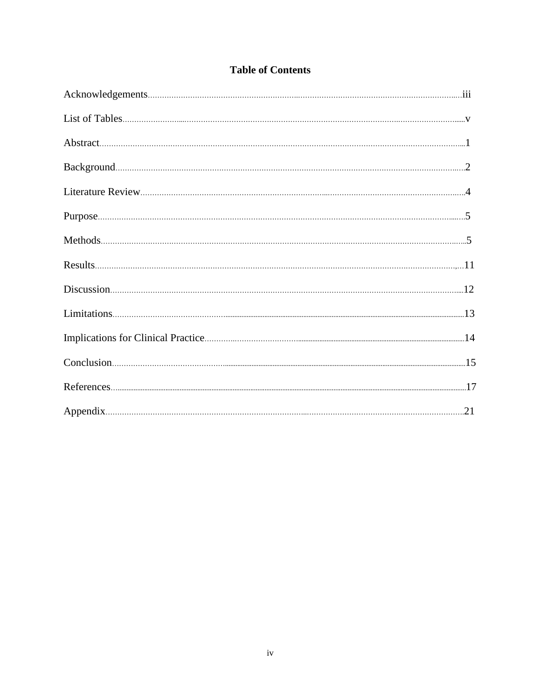| <b>Table of Contents</b> |  |
|--------------------------|--|
|--------------------------|--|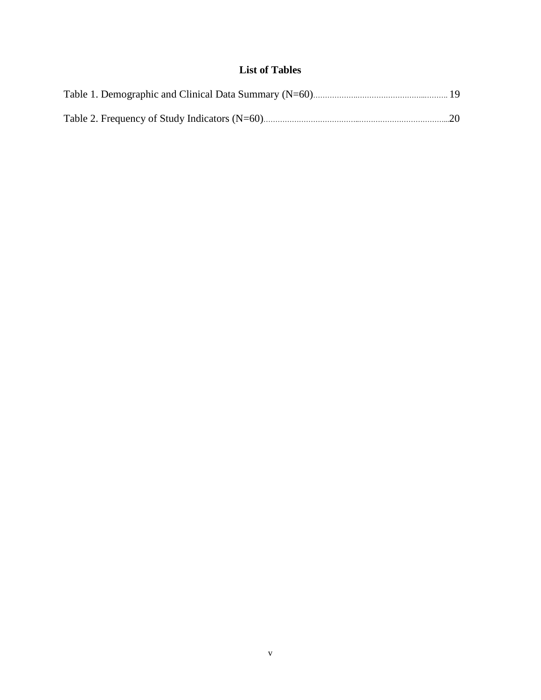# **List of Tables**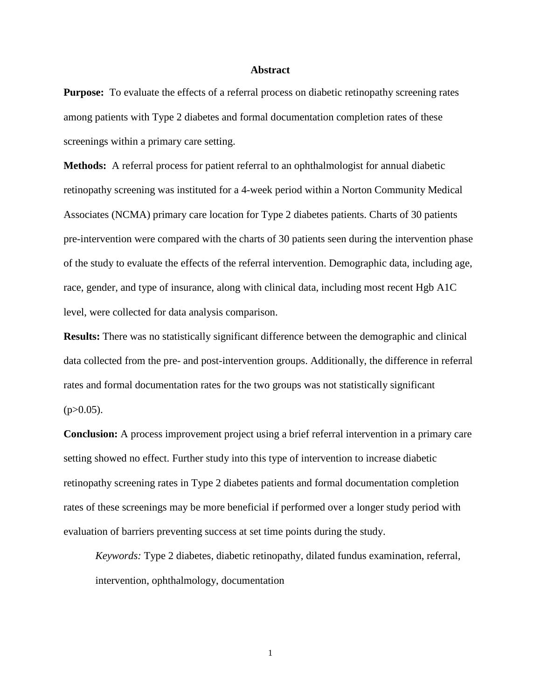#### **Abstract**

**Purpose:** To evaluate the effects of a referral process on diabetic retinopathy screening rates among patients with Type 2 diabetes and formal documentation completion rates of these screenings within a primary care setting.

**Methods:** A referral process for patient referral to an ophthalmologist for annual diabetic retinopathy screening was instituted for a 4-week period within a Norton Community Medical Associates (NCMA) primary care location for Type 2 diabetes patients. Charts of 30 patients pre-intervention were compared with the charts of 30 patients seen during the intervention phase of the study to evaluate the effects of the referral intervention. Demographic data, including age, race, gender, and type of insurance, along with clinical data, including most recent Hgb A1C level, were collected for data analysis comparison.

**Results:** There was no statistically significant difference between the demographic and clinical data collected from the pre- and post-intervention groups. Additionally, the difference in referral rates and formal documentation rates for the two groups was not statistically significant  $(p>0.05)$ .

**Conclusion:** A process improvement project using a brief referral intervention in a primary care setting showed no effect. Further study into this type of intervention to increase diabetic retinopathy screening rates in Type 2 diabetes patients and formal documentation completion rates of these screenings may be more beneficial if performed over a longer study period with evaluation of barriers preventing success at set time points during the study.

*Keywords:* Type 2 diabetes, diabetic retinopathy, dilated fundus examination, referral, intervention, ophthalmology, documentation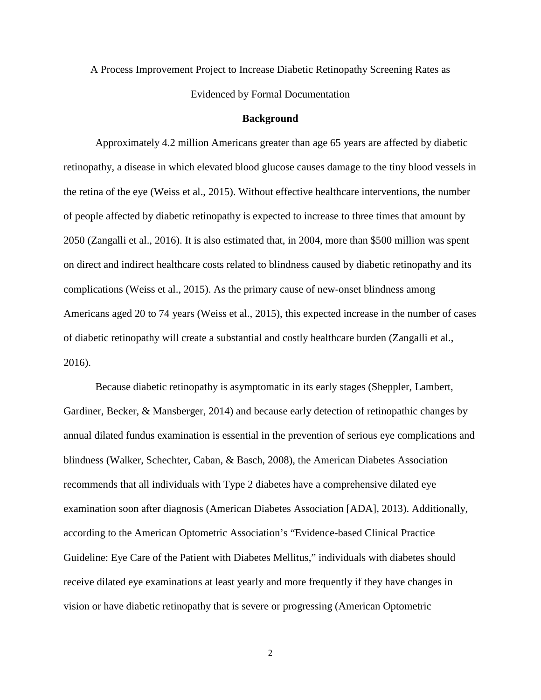A Process Improvement Project to Increase Diabetic Retinopathy Screening Rates as Evidenced by Formal Documentation

#### **Background**

Approximately 4.2 million Americans greater than age 65 years are affected by diabetic retinopathy, a disease in which elevated blood glucose causes damage to the tiny blood vessels in the retina of the eye (Weiss et al., 2015). Without effective healthcare interventions, the number of people affected by diabetic retinopathy is expected to increase to three times that amount by 2050 (Zangalli et al., 2016). It is also estimated that, in 2004, more than \$500 million was spent on direct and indirect healthcare costs related to blindness caused by diabetic retinopathy and its complications (Weiss et al., 2015). As the primary cause of new-onset blindness among Americans aged 20 to 74 years (Weiss et al., 2015), this expected increase in the number of cases of diabetic retinopathy will create a substantial and costly healthcare burden (Zangalli et al., 2016).

Because diabetic retinopathy is asymptomatic in its early stages (Sheppler, Lambert, Gardiner, Becker, & Mansberger, 2014) and because early detection of retinopathic changes by annual dilated fundus examination is essential in the prevention of serious eye complications and blindness (Walker, Schechter, Caban, & Basch, 2008), the American Diabetes Association recommends that all individuals with Type 2 diabetes have a comprehensive dilated eye examination soon after diagnosis (American Diabetes Association [ADA], 2013). Additionally, according to the American Optometric Association's "Evidence-based Clinical Practice Guideline: Eye Care of the Patient with Diabetes Mellitus," individuals with diabetes should receive dilated eye examinations at least yearly and more frequently if they have changes in vision or have diabetic retinopathy that is severe or progressing (American Optometric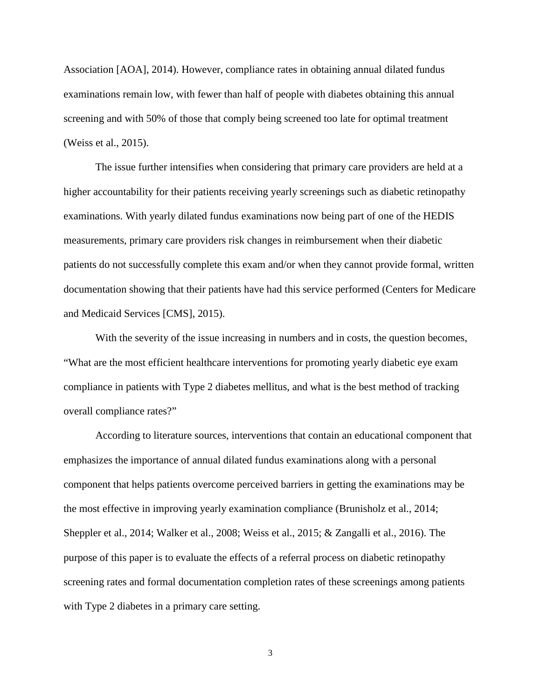Association [AOA], 2014). However, compliance rates in obtaining annual dilated fundus examinations remain low, with fewer than half of people with diabetes obtaining this annual screening and with 50% of those that comply being screened too late for optimal treatment (Weiss et al., 2015).

The issue further intensifies when considering that primary care providers are held at a higher accountability for their patients receiving yearly screenings such as diabetic retinopathy examinations. With yearly dilated fundus examinations now being part of one of the HEDIS measurements, primary care providers risk changes in reimbursement when their diabetic patients do not successfully complete this exam and/or when they cannot provide formal, written documentation showing that their patients have had this service performed (Centers for Medicare and Medicaid Services [CMS], 2015).

With the severity of the issue increasing in numbers and in costs, the question becomes, "What are the most efficient healthcare interventions for promoting yearly diabetic eye exam compliance in patients with Type 2 diabetes mellitus, and what is the best method of tracking overall compliance rates?"

According to literature sources, interventions that contain an educational component that emphasizes the importance of annual dilated fundus examinations along with a personal component that helps patients overcome perceived barriers in getting the examinations may be the most effective in improving yearly examination compliance (Brunisholz et al., 2014; Sheppler et al., 2014; Walker et al., 2008; Weiss et al., 2015; & Zangalli et al., 2016). The purpose of this paper is to evaluate the effects of a referral process on diabetic retinopathy screening rates and formal documentation completion rates of these screenings among patients with Type 2 diabetes in a primary care setting.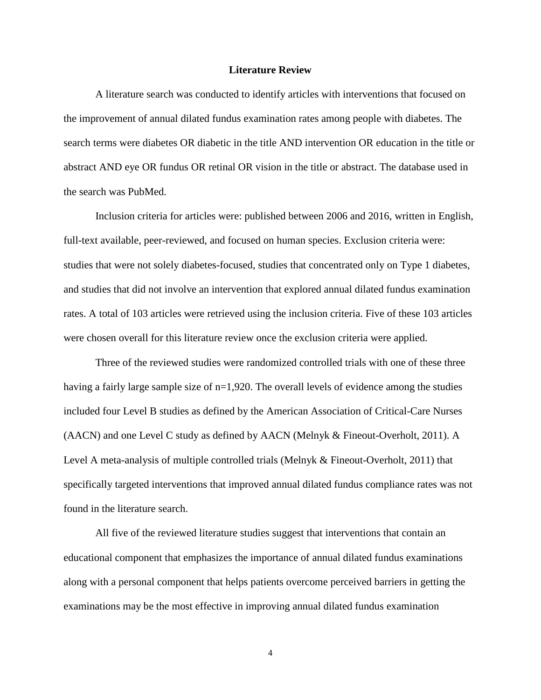#### **Literature Review**

A literature search was conducted to identify articles with interventions that focused on the improvement of annual dilated fundus examination rates among people with diabetes. The search terms were diabetes OR diabetic in the title AND intervention OR education in the title or abstract AND eye OR fundus OR retinal OR vision in the title or abstract. The database used in the search was PubMed.

Inclusion criteria for articles were: published between 2006 and 2016, written in English, full-text available, peer-reviewed, and focused on human species. Exclusion criteria were: studies that were not solely diabetes-focused, studies that concentrated only on Type 1 diabetes, and studies that did not involve an intervention that explored annual dilated fundus examination rates. A total of 103 articles were retrieved using the inclusion criteria. Five of these 103 articles were chosen overall for this literature review once the exclusion criteria were applied.

Three of the reviewed studies were randomized controlled trials with one of these three having a fairly large sample size of  $n=1,920$ . The overall levels of evidence among the studies included four Level B studies as defined by the American Association of Critical-Care Nurses (AACN) and one Level C study as defined by AACN (Melnyk & Fineout-Overholt, 2011). A Level A meta-analysis of multiple controlled trials (Melnyk & Fineout-Overholt, 2011) that specifically targeted interventions that improved annual dilated fundus compliance rates was not found in the literature search.

All five of the reviewed literature studies suggest that interventions that contain an educational component that emphasizes the importance of annual dilated fundus examinations along with a personal component that helps patients overcome perceived barriers in getting the examinations may be the most effective in improving annual dilated fundus examination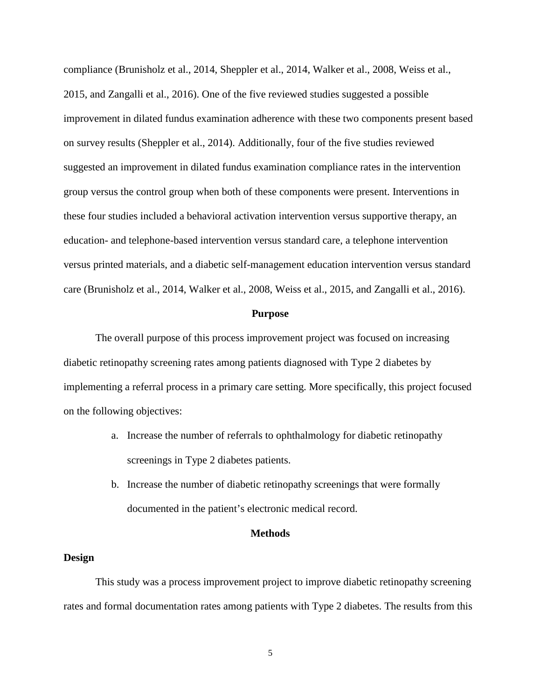compliance (Brunisholz et al., 2014, Sheppler et al., 2014, Walker et al., 2008, Weiss et al., 2015, and Zangalli et al., 2016). One of the five reviewed studies suggested a possible improvement in dilated fundus examination adherence with these two components present based on survey results (Sheppler et al., 2014). Additionally, four of the five studies reviewed suggested an improvement in dilated fundus examination compliance rates in the intervention group versus the control group when both of these components were present. Interventions in these four studies included a behavioral activation intervention versus supportive therapy, an education- and telephone-based intervention versus standard care, a telephone intervention versus printed materials, and a diabetic self-management education intervention versus standard care (Brunisholz et al., 2014, Walker et al., 2008, Weiss et al., 2015, and Zangalli et al., 2016).

#### **Purpose**

The overall purpose of this process improvement project was focused on increasing diabetic retinopathy screening rates among patients diagnosed with Type 2 diabetes by implementing a referral process in a primary care setting. More specifically, this project focused on the following objectives:

- a. Increase the number of referrals to ophthalmology for diabetic retinopathy screenings in Type 2 diabetes patients.
- b. Increase the number of diabetic retinopathy screenings that were formally documented in the patient's electronic medical record.

#### **Methods**

#### **Design**

This study was a process improvement project to improve diabetic retinopathy screening rates and formal documentation rates among patients with Type 2 diabetes. The results from this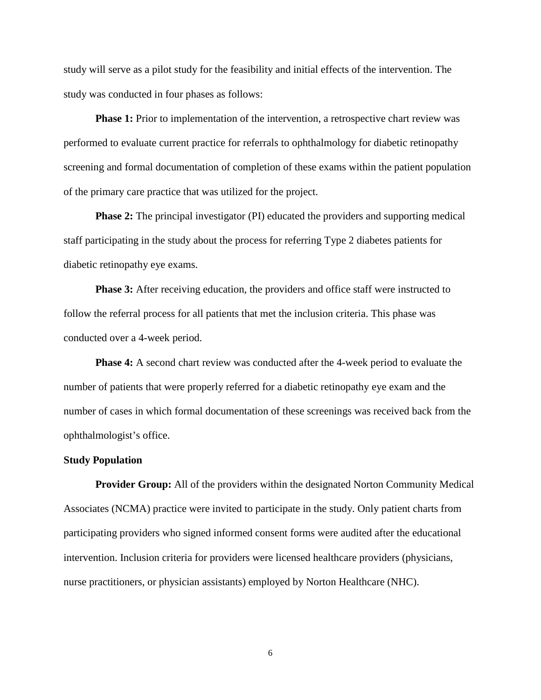study will serve as a pilot study for the feasibility and initial effects of the intervention. The study was conducted in four phases as follows:

**Phase 1:** Prior to implementation of the intervention, a retrospective chart review was performed to evaluate current practice for referrals to ophthalmology for diabetic retinopathy screening and formal documentation of completion of these exams within the patient population of the primary care practice that was utilized for the project.

**Phase 2:** The principal investigator (PI) educated the providers and supporting medical staff participating in the study about the process for referring Type 2 diabetes patients for diabetic retinopathy eye exams.

**Phase 3:** After receiving education, the providers and office staff were instructed to follow the referral process for all patients that met the inclusion criteria. This phase was conducted over a 4-week period.

**Phase 4:** A second chart review was conducted after the 4-week period to evaluate the number of patients that were properly referred for a diabetic retinopathy eye exam and the number of cases in which formal documentation of these screenings was received back from the ophthalmologist's office.

#### **Study Population**

**Provider Group:** All of the providers within the designated Norton Community Medical Associates (NCMA) practice were invited to participate in the study. Only patient charts from participating providers who signed informed consent forms were audited after the educational intervention. Inclusion criteria for providers were licensed healthcare providers (physicians, nurse practitioners, or physician assistants) employed by Norton Healthcare (NHC).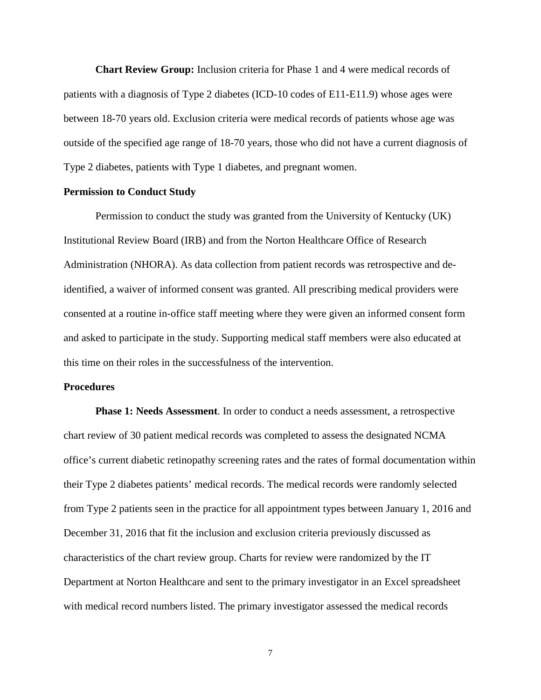**Chart Review Group:** Inclusion criteria for Phase 1 and 4 were medical records of patients with a diagnosis of Type 2 diabetes (ICD-10 codes of E11-E11.9) whose ages were between 18-70 years old. Exclusion criteria were medical records of patients whose age was outside of the specified age range of 18-70 years, those who did not have a current diagnosis of Type 2 diabetes, patients with Type 1 diabetes, and pregnant women.

#### **Permission to Conduct Study**

Permission to conduct the study was granted from the University of Kentucky (UK) Institutional Review Board (IRB) and from the Norton Healthcare Office of Research Administration (NHORA). As data collection from patient records was retrospective and deidentified, a waiver of informed consent was granted. All prescribing medical providers were consented at a routine in-office staff meeting where they were given an informed consent form and asked to participate in the study. Supporting medical staff members were also educated at this time on their roles in the successfulness of the intervention.

## **Procedures**

**Phase 1: Needs Assessment**. In order to conduct a needs assessment, a retrospective chart review of 30 patient medical records was completed to assess the designated NCMA office's current diabetic retinopathy screening rates and the rates of formal documentation within their Type 2 diabetes patients' medical records. The medical records were randomly selected from Type 2 patients seen in the practice for all appointment types between January 1, 2016 and December 31, 2016 that fit the inclusion and exclusion criteria previously discussed as characteristics of the chart review group. Charts for review were randomized by the IT Department at Norton Healthcare and sent to the primary investigator in an Excel spreadsheet with medical record numbers listed. The primary investigator assessed the medical records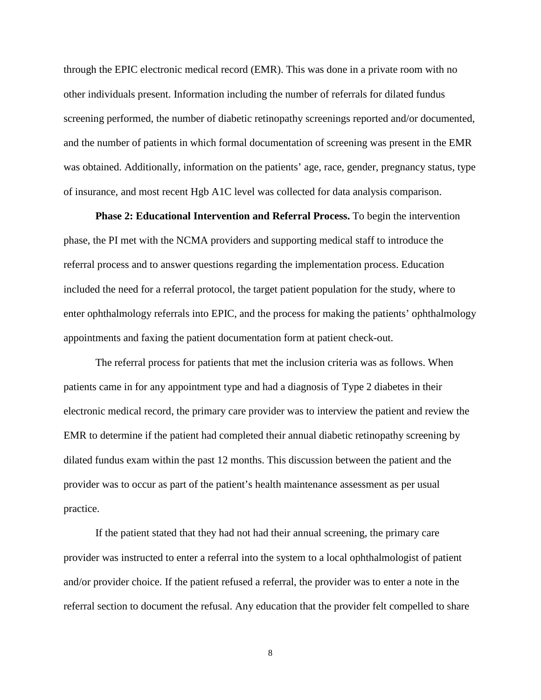through the EPIC electronic medical record (EMR). This was done in a private room with no other individuals present. Information including the number of referrals for dilated fundus screening performed, the number of diabetic retinopathy screenings reported and/or documented, and the number of patients in which formal documentation of screening was present in the EMR was obtained. Additionally, information on the patients' age, race, gender, pregnancy status, type of insurance, and most recent Hgb A1C level was collected for data analysis comparison.

**Phase 2: Educational Intervention and Referral Process.** To begin the intervention phase, the PI met with the NCMA providers and supporting medical staff to introduce the referral process and to answer questions regarding the implementation process. Education included the need for a referral protocol, the target patient population for the study, where to enter ophthalmology referrals into EPIC, and the process for making the patients' ophthalmology appointments and faxing the patient documentation form at patient check-out.

The referral process for patients that met the inclusion criteria was as follows. When patients came in for any appointment type and had a diagnosis of Type 2 diabetes in their electronic medical record, the primary care provider was to interview the patient and review the EMR to determine if the patient had completed their annual diabetic retinopathy screening by dilated fundus exam within the past 12 months. This discussion between the patient and the provider was to occur as part of the patient's health maintenance assessment as per usual practice.

If the patient stated that they had not had their annual screening, the primary care provider was instructed to enter a referral into the system to a local ophthalmologist of patient and/or provider choice. If the patient refused a referral, the provider was to enter a note in the referral section to document the refusal. Any education that the provider felt compelled to share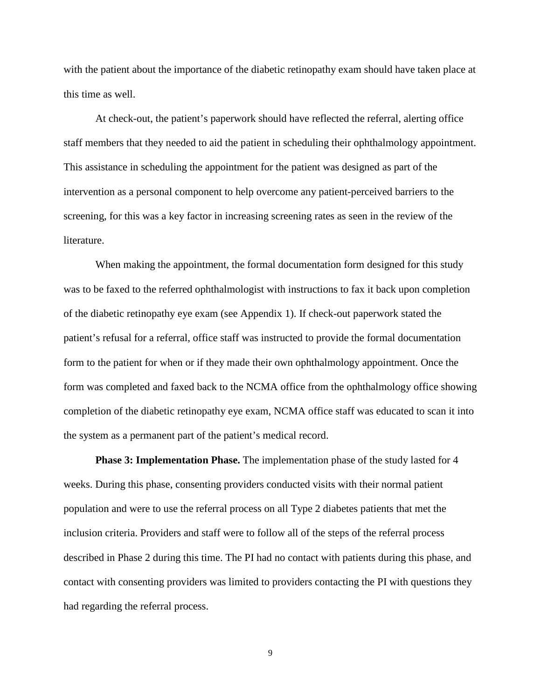with the patient about the importance of the diabetic retinopathy exam should have taken place at this time as well.

At check-out, the patient's paperwork should have reflected the referral, alerting office staff members that they needed to aid the patient in scheduling their ophthalmology appointment. This assistance in scheduling the appointment for the patient was designed as part of the intervention as a personal component to help overcome any patient-perceived barriers to the screening, for this was a key factor in increasing screening rates as seen in the review of the literature.

When making the appointment, the formal documentation form designed for this study was to be faxed to the referred ophthalmologist with instructions to fax it back upon completion of the diabetic retinopathy eye exam (see Appendix 1). If check-out paperwork stated the patient's refusal for a referral, office staff was instructed to provide the formal documentation form to the patient for when or if they made their own ophthalmology appointment. Once the form was completed and faxed back to the NCMA office from the ophthalmology office showing completion of the diabetic retinopathy eye exam, NCMA office staff was educated to scan it into the system as a permanent part of the patient's medical record.

**Phase 3: Implementation Phase.** The implementation phase of the study lasted for 4 weeks. During this phase, consenting providers conducted visits with their normal patient population and were to use the referral process on all Type 2 diabetes patients that met the inclusion criteria. Providers and staff were to follow all of the steps of the referral process described in Phase 2 during this time. The PI had no contact with patients during this phase, and contact with consenting providers was limited to providers contacting the PI with questions they had regarding the referral process.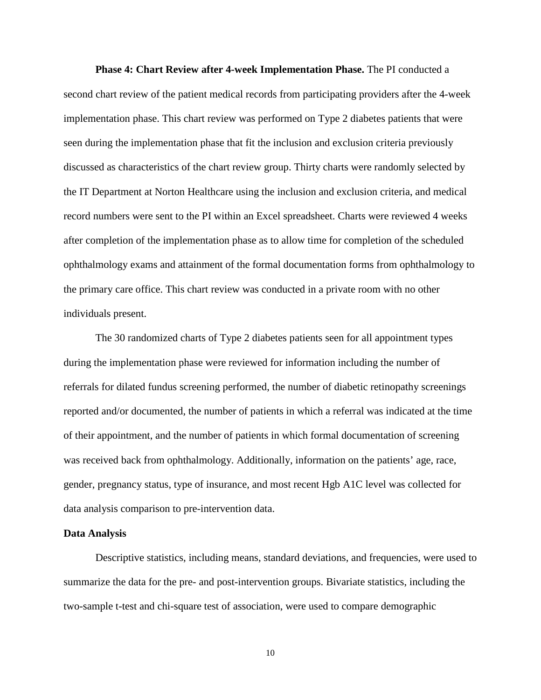**Phase 4: Chart Review after 4-week Implementation Phase.** The PI conducted a second chart review of the patient medical records from participating providers after the 4-week implementation phase. This chart review was performed on Type 2 diabetes patients that were seen during the implementation phase that fit the inclusion and exclusion criteria previously discussed as characteristics of the chart review group. Thirty charts were randomly selected by the IT Department at Norton Healthcare using the inclusion and exclusion criteria, and medical record numbers were sent to the PI within an Excel spreadsheet. Charts were reviewed 4 weeks after completion of the implementation phase as to allow time for completion of the scheduled ophthalmology exams and attainment of the formal documentation forms from ophthalmology to the primary care office. This chart review was conducted in a private room with no other individuals present.

The 30 randomized charts of Type 2 diabetes patients seen for all appointment types during the implementation phase were reviewed for information including the number of referrals for dilated fundus screening performed, the number of diabetic retinopathy screenings reported and/or documented, the number of patients in which a referral was indicated at the time of their appointment, and the number of patients in which formal documentation of screening was received back from ophthalmology. Additionally, information on the patients' age, race, gender, pregnancy status, type of insurance, and most recent Hgb A1C level was collected for data analysis comparison to pre-intervention data.

#### **Data Analysis**

Descriptive statistics, including means, standard deviations, and frequencies, were used to summarize the data for the pre- and post-intervention groups. Bivariate statistics, including the two-sample t-test and chi-square test of association, were used to compare demographic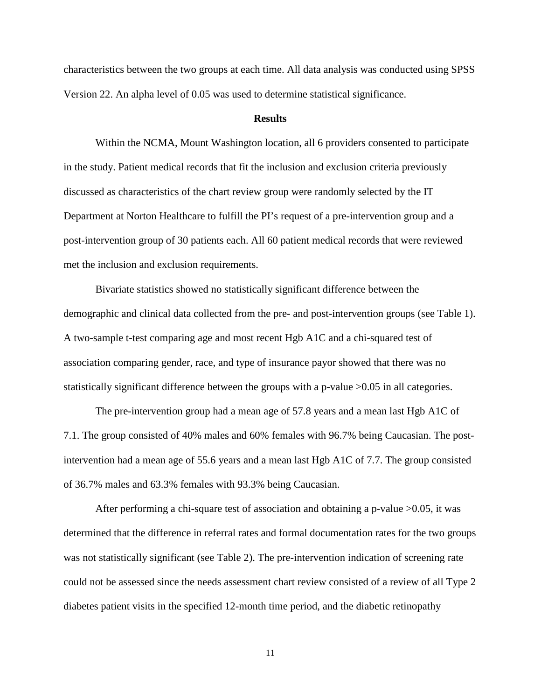characteristics between the two groups at each time. All data analysis was conducted using SPSS Version 22. An alpha level of 0.05 was used to determine statistical significance.

#### **Results**

Within the NCMA, Mount Washington location, all 6 providers consented to participate in the study. Patient medical records that fit the inclusion and exclusion criteria previously discussed as characteristics of the chart review group were randomly selected by the IT Department at Norton Healthcare to fulfill the PI's request of a pre-intervention group and a post-intervention group of 30 patients each. All 60 patient medical records that were reviewed met the inclusion and exclusion requirements.

Bivariate statistics showed no statistically significant difference between the demographic and clinical data collected from the pre- and post-intervention groups (see Table 1). A two-sample t-test comparing age and most recent Hgb A1C and a chi-squared test of association comparing gender, race, and type of insurance payor showed that there was no statistically significant difference between the groups with a p-value >0.05 in all categories.

The pre-intervention group had a mean age of 57.8 years and a mean last Hgb A1C of 7.1. The group consisted of 40% males and 60% females with 96.7% being Caucasian. The postintervention had a mean age of 55.6 years and a mean last Hgb A1C of 7.7. The group consisted of 36.7% males and 63.3% females with 93.3% being Caucasian.

After performing a chi-square test of association and obtaining a p-value >0.05, it was determined that the difference in referral rates and formal documentation rates for the two groups was not statistically significant (see Table 2). The pre-intervention indication of screening rate could not be assessed since the needs assessment chart review consisted of a review of all Type 2 diabetes patient visits in the specified 12-month time period, and the diabetic retinopathy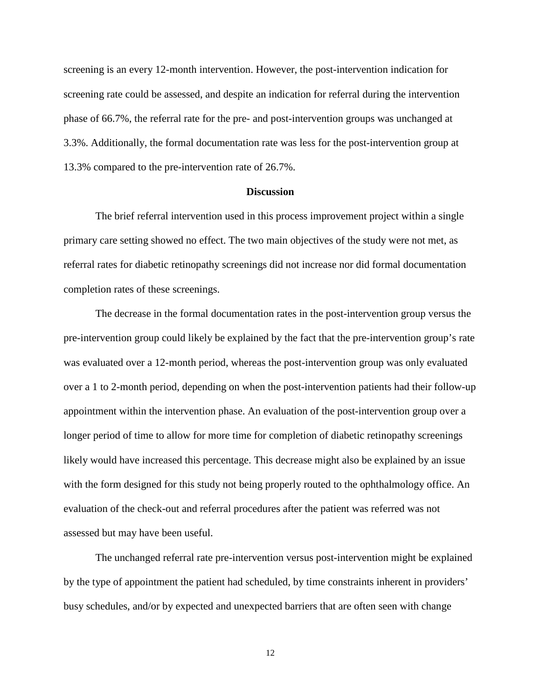screening is an every 12-month intervention. However, the post-intervention indication for screening rate could be assessed, and despite an indication for referral during the intervention phase of 66.7%, the referral rate for the pre- and post-intervention groups was unchanged at 3.3%. Additionally, the formal documentation rate was less for the post-intervention group at 13.3% compared to the pre-intervention rate of 26.7%.

#### **Discussion**

The brief referral intervention used in this process improvement project within a single primary care setting showed no effect. The two main objectives of the study were not met, as referral rates for diabetic retinopathy screenings did not increase nor did formal documentation completion rates of these screenings.

The decrease in the formal documentation rates in the post-intervention group versus the pre-intervention group could likely be explained by the fact that the pre-intervention group's rate was evaluated over a 12-month period, whereas the post-intervention group was only evaluated over a 1 to 2-month period, depending on when the post-intervention patients had their follow-up appointment within the intervention phase. An evaluation of the post-intervention group over a longer period of time to allow for more time for completion of diabetic retinopathy screenings likely would have increased this percentage. This decrease might also be explained by an issue with the form designed for this study not being properly routed to the ophthalmology office. An evaluation of the check-out and referral procedures after the patient was referred was not assessed but may have been useful.

The unchanged referral rate pre-intervention versus post-intervention might be explained by the type of appointment the patient had scheduled, by time constraints inherent in providers' busy schedules, and/or by expected and unexpected barriers that are often seen with change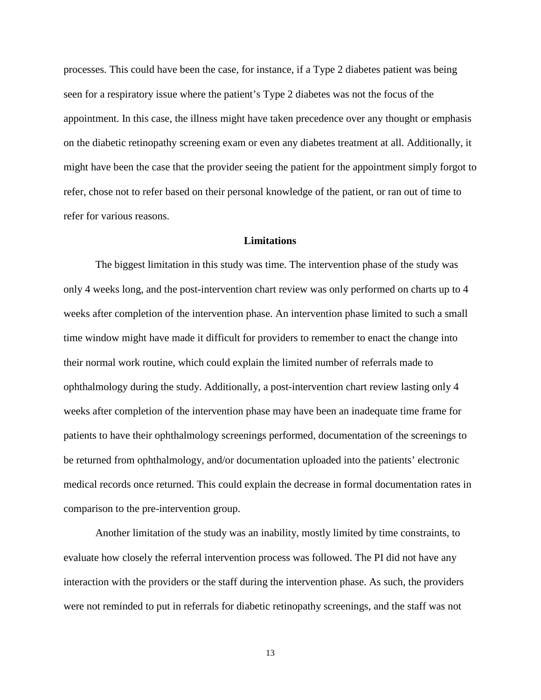processes. This could have been the case, for instance, if a Type 2 diabetes patient was being seen for a respiratory issue where the patient's Type 2 diabetes was not the focus of the appointment. In this case, the illness might have taken precedence over any thought or emphasis on the diabetic retinopathy screening exam or even any diabetes treatment at all. Additionally, it might have been the case that the provider seeing the patient for the appointment simply forgot to refer, chose not to refer based on their personal knowledge of the patient, or ran out of time to refer for various reasons.

#### **Limitations**

The biggest limitation in this study was time. The intervention phase of the study was only 4 weeks long, and the post-intervention chart review was only performed on charts up to 4 weeks after completion of the intervention phase. An intervention phase limited to such a small time window might have made it difficult for providers to remember to enact the change into their normal work routine, which could explain the limited number of referrals made to ophthalmology during the study. Additionally, a post-intervention chart review lasting only 4 weeks after completion of the intervention phase may have been an inadequate time frame for patients to have their ophthalmology screenings performed, documentation of the screenings to be returned from ophthalmology, and/or documentation uploaded into the patients' electronic medical records once returned. This could explain the decrease in formal documentation rates in comparison to the pre-intervention group.

Another limitation of the study was an inability, mostly limited by time constraints, to evaluate how closely the referral intervention process was followed. The PI did not have any interaction with the providers or the staff during the intervention phase. As such, the providers were not reminded to put in referrals for diabetic retinopathy screenings, and the staff was not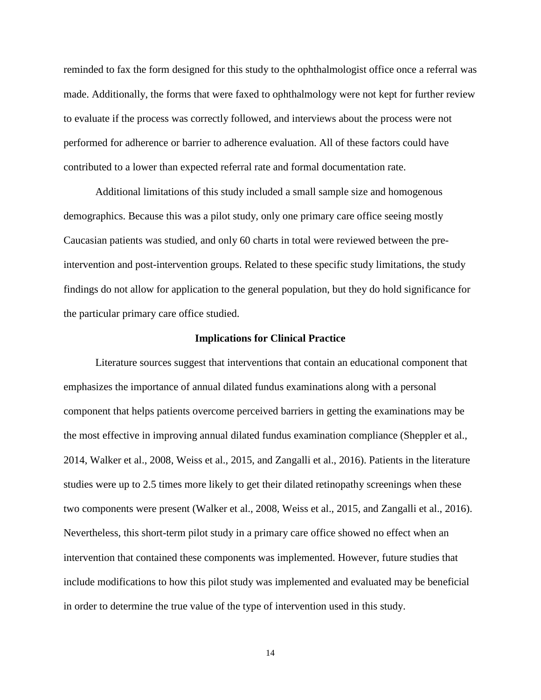reminded to fax the form designed for this study to the ophthalmologist office once a referral was made. Additionally, the forms that were faxed to ophthalmology were not kept for further review to evaluate if the process was correctly followed, and interviews about the process were not performed for adherence or barrier to adherence evaluation. All of these factors could have contributed to a lower than expected referral rate and formal documentation rate.

Additional limitations of this study included a small sample size and homogenous demographics. Because this was a pilot study, only one primary care office seeing mostly Caucasian patients was studied, and only 60 charts in total were reviewed between the preintervention and post-intervention groups. Related to these specific study limitations, the study findings do not allow for application to the general population, but they do hold significance for the particular primary care office studied.

#### **Implications for Clinical Practice**

Literature sources suggest that interventions that contain an educational component that emphasizes the importance of annual dilated fundus examinations along with a personal component that helps patients overcome perceived barriers in getting the examinations may be the most effective in improving annual dilated fundus examination compliance (Sheppler et al., 2014, Walker et al., 2008, Weiss et al., 2015, and Zangalli et al., 2016). Patients in the literature studies were up to 2.5 times more likely to get their dilated retinopathy screenings when these two components were present (Walker et al., 2008, Weiss et al., 2015, and Zangalli et al., 2016). Nevertheless, this short-term pilot study in a primary care office showed no effect when an intervention that contained these components was implemented. However, future studies that include modifications to how this pilot study was implemented and evaluated may be beneficial in order to determine the true value of the type of intervention used in this study.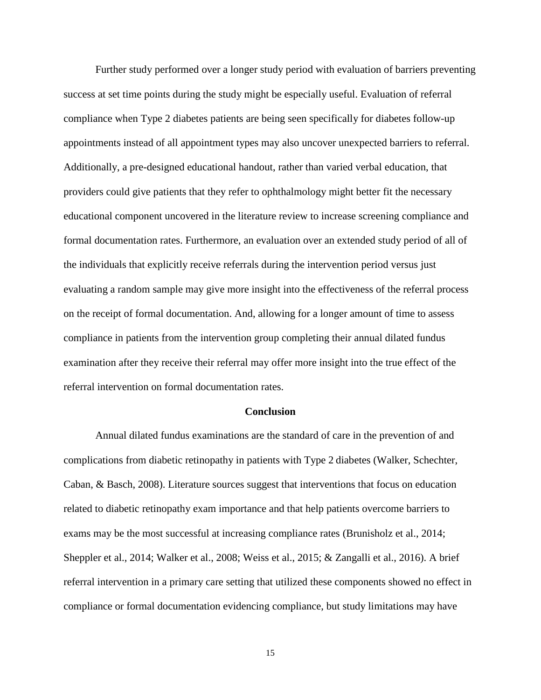Further study performed over a longer study period with evaluation of barriers preventing success at set time points during the study might be especially useful. Evaluation of referral compliance when Type 2 diabetes patients are being seen specifically for diabetes follow-up appointments instead of all appointment types may also uncover unexpected barriers to referral. Additionally, a pre-designed educational handout, rather than varied verbal education, that providers could give patients that they refer to ophthalmology might better fit the necessary educational component uncovered in the literature review to increase screening compliance and formal documentation rates. Furthermore, an evaluation over an extended study period of all of the individuals that explicitly receive referrals during the intervention period versus just evaluating a random sample may give more insight into the effectiveness of the referral process on the receipt of formal documentation. And, allowing for a longer amount of time to assess compliance in patients from the intervention group completing their annual dilated fundus examination after they receive their referral may offer more insight into the true effect of the referral intervention on formal documentation rates.

#### **Conclusion**

Annual dilated fundus examinations are the standard of care in the prevention of and complications from diabetic retinopathy in patients with Type 2 diabetes (Walker, Schechter, Caban, & Basch, 2008). Literature sources suggest that interventions that focus on education related to diabetic retinopathy exam importance and that help patients overcome barriers to exams may be the most successful at increasing compliance rates (Brunisholz et al., 2014; Sheppler et al., 2014; Walker et al., 2008; Weiss et al., 2015; & Zangalli et al., 2016). A brief referral intervention in a primary care setting that utilized these components showed no effect in compliance or formal documentation evidencing compliance, but study limitations may have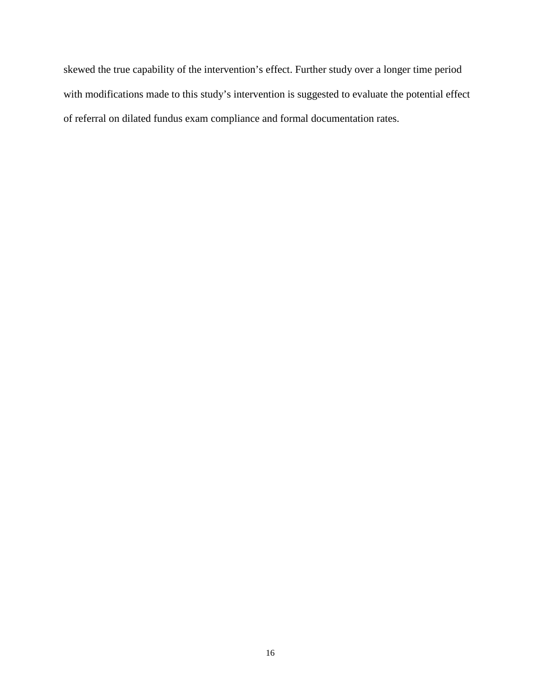skewed the true capability of the intervention's effect. Further study over a longer time period with modifications made to this study's intervention is suggested to evaluate the potential effect of referral on dilated fundus exam compliance and formal documentation rates.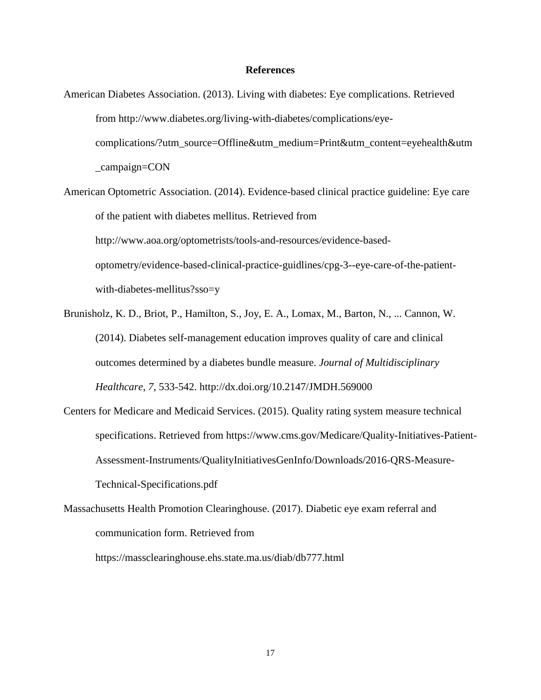#### **References**

- American Diabetes Association. (2013). Living with diabetes: Eye complications. Retrieved from http://www.diabetes.org/living-with-diabetes/complications/eyecomplications/?utm\_source=Offline&utm\_medium=Print&utm\_content=eyehealth&utm \_campaign=CON
- American Optometric Association. (2014). Evidence-based clinical practice guideline: Eye care of the patient with diabetes mellitus. Retrieved from http://www.aoa.org/optometrists/tools-and-resources/evidence-basedoptometry/evidence-based-clinical-practice-guidlines/cpg-3--eye-care-of-the-patientwith-diabetes-mellitus?sso=y
- Brunisholz, K. D., Briot, P., Hamilton, S., Joy, E. A., Lomax, M., Barton, N., ... Cannon, W. (2014). Diabetes self-management education improves quality of care and clinical outcomes determined by a diabetes bundle measure. *Journal of Multidisciplinary Healthcare*, *7*, 533-542. http://dx.doi.org/10.2147/JMDH.569000
- Centers for Medicare and Medicaid Services. (2015). Quality rating system measure technical specifications. Retrieved from https://www.cms.gov/Medicare/Quality-Initiatives-Patient-Assessment-Instruments/QualityInitiativesGenInfo/Downloads/2016-QRS-Measure-Technical-Specifications.pdf
- Massachusetts Health Promotion Clearinghouse. (2017). Diabetic eye exam referral and communication form. Retrieved from

https://massclearinghouse.ehs.state.ma.us/diab/db777.html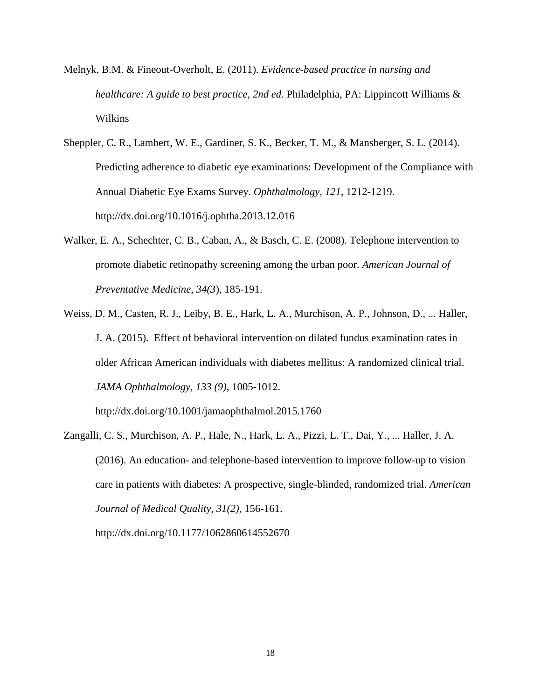- Melnyk, B.M. & Fineout-Overholt, E. (2011). *Evidence-based practice in nursing and healthcare: A guide to best practice, 2nd ed. Philadelphia, PA: Lippincott Williams &* Wilkins
- Sheppler, C. R., Lambert, W. E., Gardiner, S. K., Becker, T. M., & Mansberger, S. L. (2014). Predicting adherence to diabetic eye examinations: Development of the Compliance with Annual Diabetic Eye Exams Survey. *Ophthalmology*, *121*, 1212-1219. http://dx.doi.org/10.1016/j.ophtha.2013.12.016
- Walker, E. A., Schechter, C. B., Caban, A., & Basch, C. E. (2008). Telephone intervention to promote diabetic retinopathy screening among the urban poor. *American Journal of Preventative Medicine*, *34(3*), 185-191.
- Weiss, D. M., Casten, R. J., Leiby, B. E., Hark, L. A., Murchison, A. P., Johnson, D., ... Haller, J. A. (2015). Effect of behavioral intervention on dilated fundus examination rates in older African American individuals with diabetes mellitus: A randomized clinical trial. *JAMA Ophthalmology*, *133 (9)*, 1005-1012.

http://dx.doi.org/10.1001/jamaophthalmol.2015.1760

Zangalli, C. S., Murchison, A. P., Hale, N., Hark, L. A., Pizzi, L. T., Dai, Y., ... Haller, J. A. (2016). An education- and telephone-based intervention to improve follow-up to vision care in patients with diabetes: A prospective, single-blinded, randomized trial. *American Journal of Medical Quality*, *31(2)*, 156-161. http://dx.doi.org/10.1177/1062860614552670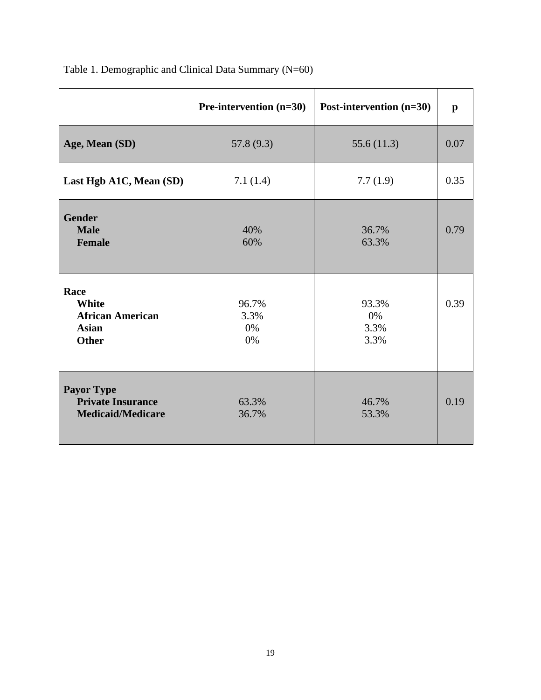|                                                                           | Pre-intervention (n=30)   | Post-intervention (n=30)    | $\mathbf{p}$ |
|---------------------------------------------------------------------------|---------------------------|-----------------------------|--------------|
| Age, Mean (SD)                                                            | 57.8(9.3)                 | 55.6(11.3)                  | 0.07         |
| Last Hgb A1C, Mean (SD)                                                   | 7.1(1.4)                  | 7.7(1.9)                    | 0.35         |
| <b>Gender</b><br><b>Male</b><br><b>Female</b>                             | 40%<br>60%                | 36.7%<br>63.3%              | 0.79         |
| Race<br>White<br><b>African American</b><br><b>Asian</b><br><b>Other</b>  | 96.7%<br>3.3%<br>0%<br>0% | 93.3%<br>0%<br>3.3%<br>3.3% | 0.39         |
| <b>Payor Type</b><br><b>Private Insurance</b><br><b>Medicaid/Medicare</b> | 63.3%<br>36.7%            | 46.7%<br>53.3%              | 0.19         |

# Table 1. Demographic and Clinical Data Summary (N=60)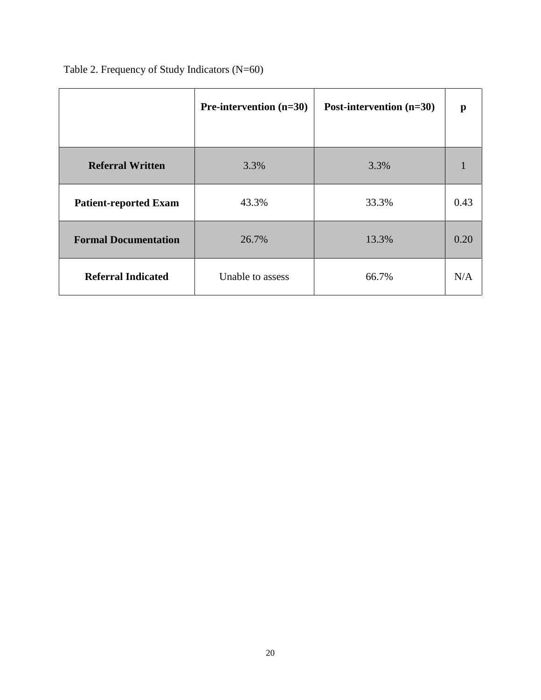|                              | <b>Pre-intervention</b> $(n=30)$ | Post-intervention (n=30) | p    |
|------------------------------|----------------------------------|--------------------------|------|
| <b>Referral Written</b>      | 3.3%                             | 3.3%                     |      |
| <b>Patient-reported Exam</b> | 43.3%                            | 33.3%                    | 0.43 |
| <b>Formal Documentation</b>  | 26.7%                            | 13.3%                    | 0.20 |
| <b>Referral Indicated</b>    | Unable to assess                 | 66.7%                    | N/A  |

Table 2. Frequency of Study Indicators (N=60)